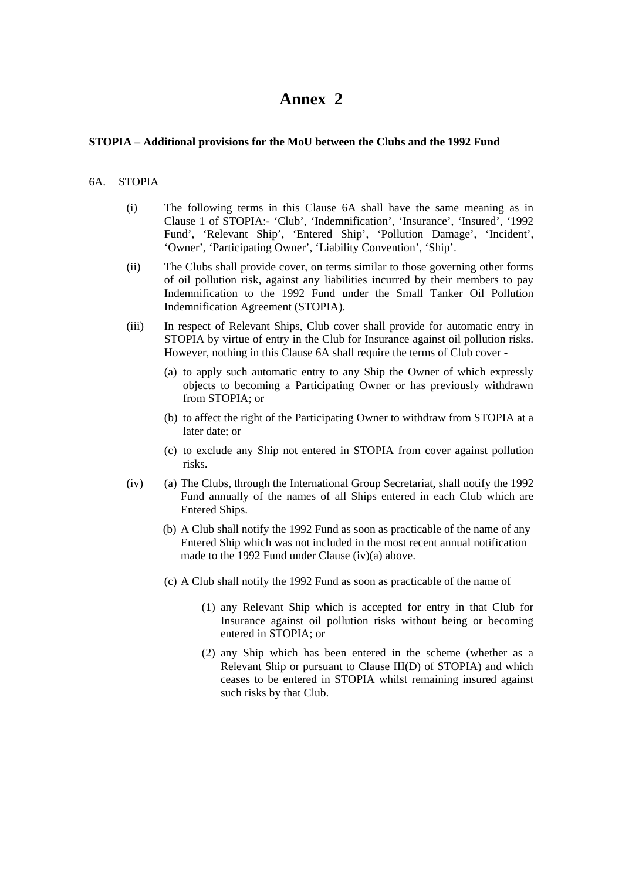## **Annex 2**

## **STOPIA – Additional provisions for the MoU between the Clubs and the 1992 Fund**

## 6A. STOPIA

- (i) The following terms in this Clause 6A shall have the same meaning as in Clause 1 of STOPIA:- 'Club', 'Indemnification', 'Insurance', 'Insured', '1992 Fund', 'Relevant Ship', 'Entered Ship', 'Pollution Damage', 'Incident', 'Owner', 'Participating Owner', 'Liability Convention', 'Ship'.
- (ii) The Clubs shall provide cover, on terms similar to those governing other forms of oil pollution risk, against any liabilities incurred by their members to pay Indemnification to the 1992 Fund under the Small Tanker Oil Pollution Indemnification Agreement (STOPIA).
- (iii) In respect of Relevant Ships, Club cover shall provide for automatic entry in STOPIA by virtue of entry in the Club for Insurance against oil pollution risks. However, nothing in this Clause 6A shall require the terms of Club cover -
	- (a) to apply such automatic entry to any Ship the Owner of which expressly objects to becoming a Participating Owner or has previously withdrawn from STOPIA; or
	- (b) to affect the right of the Participating Owner to withdraw from STOPIA at a later date; or
	- (c) to exclude any Ship not entered in STOPIA from cover against pollution risks.
- (iv) (a) The Clubs, through the International Group Secretariat, shall notify the 1992 Fund annually of the names of all Ships entered in each Club which are Entered Ships.
	- (b) A Club shall notify the 1992 Fund as soon as practicable of the name of any Entered Ship which was not included in the most recent annual notification made to the 1992 Fund under Clause (iv)(a) above.
	- (c) A Club shall notify the 1992 Fund as soon as practicable of the name of
		- (1) any Relevant Ship which is accepted for entry in that Club for Insurance against oil pollution risks without being or becoming entered in STOPIA; or
		- (2) any Ship which has been entered in the scheme (whether as a Relevant Ship or pursuant to Clause III(D) of STOPIA) and which ceases to be entered in STOPIA whilst remaining insured against such risks by that Club.